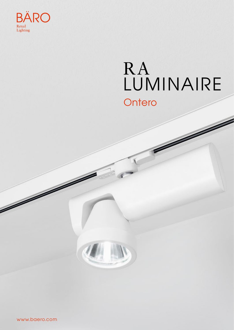

# RA **LUMINAIRE**

**Ontero** 



www.baero.com

Í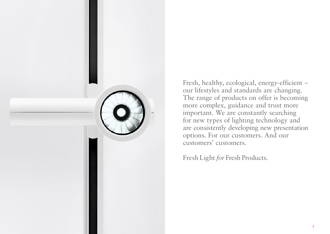

Fresh, healthy, ecological, energy-efficient – our lifestyles and standards are changing. The range of products on offer is becoming more complex, guidance and trust more important. We are constantly searching for new types of lighting technology and are consistently developing new presentation options. For our customers. And our customers' customers.

Fresh Light *for* Fresh Products.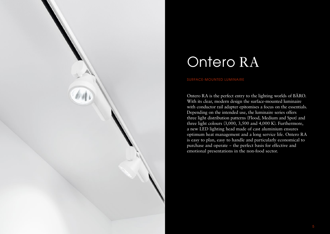Ontero RA is the perfect entry to the lighting worlds of BÄRO. With its clear, modern design the surface-mounted luminaire with conductor rail adapter epitomises a focus on the essentials. Depending on the intended use, the luminaire series offers three light distribution patterns (Flood, Medium and Spot) and three light colours (3,000, 3,500 and 4,000 K). Furthermore, a new LED lighting head made of cast aluminium ensures optimum heat management and a long service life. Ontero RA is easy to plan, easy to handle and particularly economical to purchase and operate – the perfect basis for effective and emotional presentations in the non-food sector.



### Surface-mounted luminaire



# Ontero RA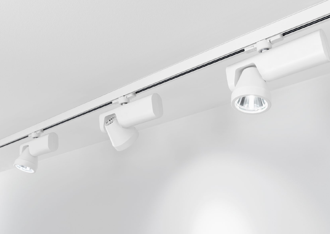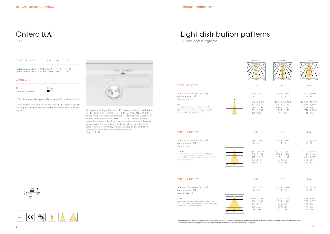

## Ontero RA LED

| COLOUR CODE                                                                  | 830      | 835            | 840            |
|------------------------------------------------------------------------------|----------|----------------|----------------|
| Useful luminous flux 15 W [lm] 1,730<br>Useful luminous flux 28 W [lm] 2,990 |          | 1,740<br>3,030 | 1,780<br>3,080 |
| <b>IUMINAIRE</b>                                                             |          |                |                |
| Weight<br>Luminaire colours                                                  | $0.9$ kg |                |                |

> The figures specified apply to the version with a medium reflector.

Due to further developments in the field of LED technology, the system power may be reduced within the framework of product upgrades.



Luminaire luminous flux [lm] System power [W] Illuminance [lx]

\* Please refer to our data sheets at www.baero.com for information on colour rendering, rated lamp lifetime and further technical details. All data are typical values. System features may change with product improvements due to technical advances. Errors excepted.

Medium reflectors produce a saturated light distribution pattern with a soft diffuse cone. They are all-rounders that model the illuminated object with a perfect balance.

| SPOT 15°<br>75<br>60°<br>30<br>$15^{\circ}$<br>ed.klm<br>Spot | MEDIUM 24°<br>99<br>75<br>60°<br>$45^{\circ}$<br>30°<br>$15^{\circ}$<br>$24^{\circ}$<br>Medium<br>cd.klm | FLOOD 43°<br>75<br>$60^{\circ}$<br>⇘<br>30<br>$15^{\circ}$<br>cd.klm<br>Rood |
|---------------------------------------------------------------|----------------------------------------------------------------------------------------------------------|------------------------------------------------------------------------------|
| 830                                                           | 835                                                                                                      | 840                                                                          |
| 1,770.3,060                                                   | 1,780.3,090                                                                                              | 1,820.3,150                                                                  |
| 15.28                                                         | 15.28                                                                                                    | 15.28                                                                        |
| 11,686.20,202                                                 | 11,752.20,400                                                                                            | 12,016.20,796                                                                |
| 2,922.5,051                                                   | 2,938.5,100                                                                                              | 3,004.5,199                                                                  |
| 1,299.2,245                                                   | 1,306.2,267                                                                                              | 1,336.2,311                                                                  |
| 731.1,263                                                     | 735.1,275                                                                                                | 751.1,300                                                                    |
| 468.809                                                       | 471.816                                                                                                  | 481.832                                                                      |
| 830                                                           | 835                                                                                                      | 840                                                                          |
| 1,730.2,990                                                   | 1,740.3,030                                                                                              | 1,780.3,080                                                                  |
| 15.28                                                         | 15.28                                                                                                    | 15.28                                                                        |
| 5,997.10,364                                                  | 6,032.10,503                                                                                             | 6,170.10,676                                                                 |
| 1,500.2,591                                                   | 1,508.2,626                                                                                              | 1,543.2,669                                                                  |
| 677.1,152                                                     | 671.1,167                                                                                                | 686.1,187                                                                    |
| 375.648                                                       | 377.657                                                                                                  | 386.668                                                                      |
| 240.415                                                       | 242.421                                                                                                  | 247.428                                                                      |
| 830                                                           | 835                                                                                                      | 840                                                                          |
| 1,700.2,950                                                   | 1,710.2,980                                                                                              | 1,750.3,030                                                                  |
| 15.28                                                         | 15.28                                                                                                    | 15.28                                                                        |
| 3,000.5,205                                                   | 3,018.5,258                                                                                              | 3,088.5,347                                                                  |
| 750.1,302                                                     | 755.1,315                                                                                                | 772.1,337                                                                    |
| 334.579                                                       | 336.585                                                                                                  | 344.595                                                                      |
| 188.326                                                       | 189.329                                                                                                  | 193.335                                                                      |
| 120.209                                                       | 121.211                                                                                                  | 124.214                                                                      |

Surface-mounted spotlight with LED, passive cooling, rated lifetime of LED L80 / B10 > 50,000 h for 15 W and L70 / B10 > 50,000 h for 28 W, chromaticity point tolerance 3 SDCM (initial), reflector 99.99% pure aluminium in MIRO-SILVER®, pivoted emitter, adjustable luminaire head, die cast aluminium luminaire housing, powder-coated, multi-adapter, including glass cover, luminaire colours strato black/white, protection rating IP 20, protection class I, max. number of luminaires per circuit 34 pcs. / B16A

# Light distribution patterns

Curves and diagrams

#### 90° 75° 60°  $\times$ 30° 15°

#### COLOUR CODE\*



5 h (m) 0.30 1.20 1.50 0.60 Ø (m)

### COLOUR CODE\*

Luminaire luminous flux [lm] System power [W] Illuminance [lx]



#### COLOUR CODE\*

Luminaire luminous flux [lm] System power [W] Illuminance [lx]

#### Spot Spot reflectors have a spot-type, clearly defined light distribution pattern. They produce high illuminances on a relatively small area and are

predestined for accent lighting.

#### Medium

Flood

Flood reflectors have a wide and soft-edged light cone. They are suitable both for illuminating larger surfaces and for general lighting.

8 9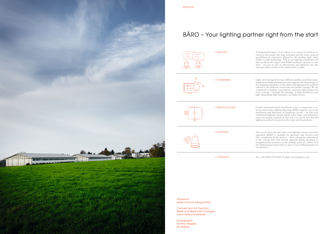

**SERVICE** 

Printed by: Köllen Druck & Verlag GmbH

Concept and Art Direction: Meiré und Meiré, Köln / Cologne www.meireundmeire.de

Photography: Hartmut Nägele Kai Nielsen

> ADVICE



> PLANNING



> INSTALLATION

> Support

> ContaCt

## BÄRO – Your lighting partner right from the start



A fundamental aspect of our advice is to convey to all those involved in the project the huge potential and the many nuanced possibilities of expression offered by the medium light today thanks to LED technology. Talk to our lighting consultants and find out about the impact that BÄRO products can have in your store – not just in view of effectiveness and efficiency, but also and especially in terms of the emotionality of light.

Light can be designed in many different qualities and dimensions. Sophisticated light planning not only supports the dramaturgy of the shopping experience; it also allows the lighting to be perfectly tailored to the different visual tasks and product groups. We are committed to finding a customised, expressive light balance for every concept – through the interplay of light distribution and light channelling, light intensities and light colours.

Careful and professional installation is just as important as effective and creative lighting planning. BÄRO supports you in the installation and alignment of luminaires on site – so that your customised lighting concept rapidly takes shape and unforeseen issues are quickly resolved. In this way you can be sure that the lighting is perfectly focused on the room and the products.

Our service does not end when your lighting system is put into operation. BÄRO is available for questions and services even after completion of the project – from subsequent adjustments to the concept that only become apparent during operation to straightforward assistance in the unlikely event of a defect. It is not without good reason that we give a  $5$ -year LED guarantee on our products.

Tel.: +49 (0)800 799 1000 / E-Mail: service@baero.com